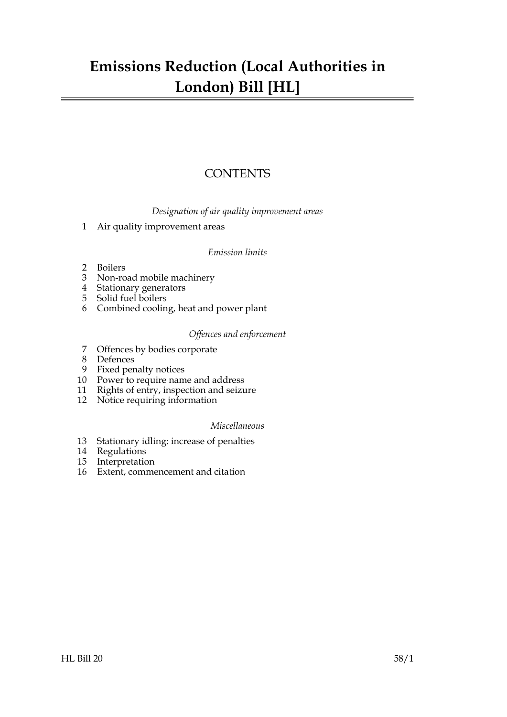## **Emissions Reduction (Local Authorities in London) Bill [HL]**

## **CONTENTS**

*Designation of air quality improvement areas*

[1 Air quality improvement areas](#page-2-0)

## *Emission limits*

- [2 Boilers](#page-3-0)
- [3 Non-road mobile machinery](#page-3-1)
- [4 Stationary generators](#page-4-0)
- [5 Solid fuel boilers](#page-5-0)
- [6 Combined cooling, heat and power plant](#page-5-1)

## *Offences and enforcement*

- [7 Offences by bodies corporate](#page-5-2)
- [8 Defences](#page-6-0)
- [9 Fixed penalty notices](#page-6-1)
- [10 Power to require name and address](#page-7-0)
- [11 Rights of entry, inspection and seizure](#page-7-1)
- [12 Notice requiring information](#page-8-0)

## *Miscellaneous*

- [13 Stationary idling: increase of penalties](#page-9-0)
- [14 Regulations](#page-9-1)
- [15 Interpretation](#page-9-2)
- 16 [Extent, commencement and citation](#page-10-0)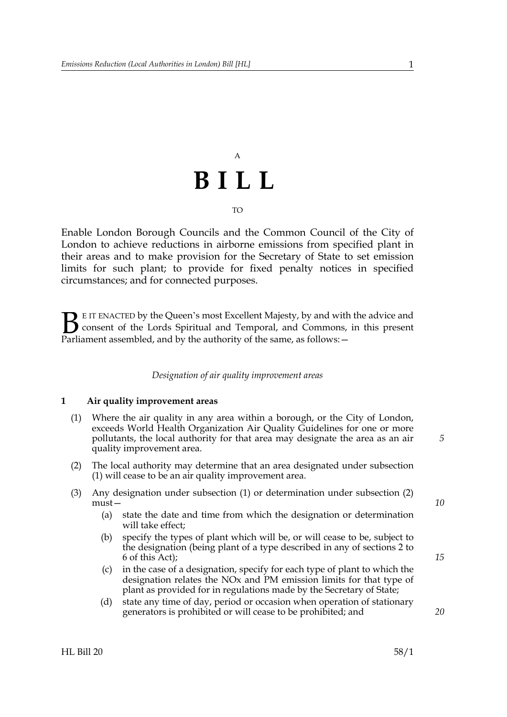# A **BILL** TO

Enable London Borough Councils and the Common Council of the City of London to achieve reductions in airborne emissions from specified plant in their areas and to make provision for the Secretary of State to set emission limits for such plant; to provide for fixed penalty notices in specified circumstances; and for connected purposes.

E IT ENACTED by the Queen's most Excellent Majesty, by and with the advice and consent of the Lords Spiritual and Temporal, and Commons, in this present **B** E IT ENACTED by the Queen's most Excellent Majesty, by and with consent of the Lords Spiritual and Temporal, and Commons, Parliament assembled, and by the authority of the same, as follows:  $-$ 

### *Designation of air quality improvement areas*

#### <span id="page-2-0"></span>**1 Air quality improvement areas**

- <span id="page-2-1"></span>(1) Where the air quality in any area within a borough, or the City of London, exceeds World Health Organization Air Quality Guidelines for one or more pollutants, the local authority for that area may designate the area as an air quality improvement area.
- <span id="page-2-2"></span>(2) The local authority may determine that an area designated under subsection [\(1\)](#page-2-1) will cease to be an air quality improvement area.
- (3) Any designation under subsection [\(1\)](#page-2-1) or determination under subsection [\(2\)](#page-2-2) must—
	- (a) state the date and time from which the designation or determination will take effect;
	- (b) specify the types of plant which will be, or will cease to be, subject to the designation (being plant of a type described in any of sections [2](#page-3-2) to [6](#page-5-3) of this Act);
	- (c) in the case of a designation, specify for each type of plant to which the designation relates the NOx and PM emission limits for that type of plant as provided for in regulations made by the Secretary of State;
	- (d) state any time of day, period or occasion when operation of stationary generators is prohibited or will cease to be prohibited; and

*20*

*15*

*5*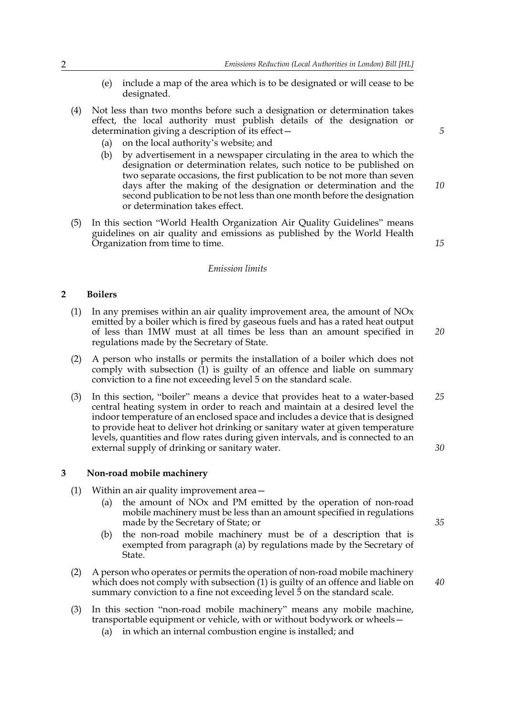- (e) include a map of the area which is to be designated or will cease to be designated.
- (4) Not less than two months before such a designation or determination takes effect, the local authority must publish details of the designation or determination giving a description of its effect—
	- (a) on the local authority's website; and
	- (b) by advertisement in a newspaper circulating in the area to which the designation or determination relates, such notice to be published on two separate occasions, the first publication to be not more than seven days after the making of the designation or determination and the second publication to be not less than one month before the designation or determination takes effect.
- (5) In this section "World Health Organization Air Quality Guidelines" means guidelines on air quality and emissions as published by the World Health Organization from time to time.

#### *15*

*20*

*5*

*10*

#### *Emission limits*

### <span id="page-3-2"></span><span id="page-3-0"></span>**2 Boilers**

- <span id="page-3-3"></span>(1) In any premises within an air quality improvement area, the amount of NOx emitted by a boiler which is fired by gaseous fuels and has a rated heat output of less than 1MW must at all times be less than an amount specified in regulations made by the Secretary of State.
- (2) A person who installs or permits the installation of a boiler which does not comply with subsection  $(1)$  is guilty of an offence and liable on summary conviction to a fine not exceeding level 5 on the standard scale.
- (3) In this section, "boiler" means a device that provides heat to a water-based central heating system in order to reach and maintain at a desired level the indoor temperature of an enclosed space and includes a device that is designed to provide heat to deliver hot drinking or sanitary water at given temperature levels, quantities and flow rates during given intervals, and is connected to an external supply of drinking or sanitary water. *25 30*

#### <span id="page-3-7"></span><span id="page-3-1"></span>**3 Non-road mobile machinery**

- <span id="page-3-5"></span><span id="page-3-4"></span>(1) Within an air quality improvement area—
	- (a) the amount of NOx and PM emitted by the operation of non-road mobile machinery must be less than an amount specified in regulations made by the Secretary of State; or
	- (b) the non-road mobile machinery must be of a description that is exempted from paragraph [\(a\)](#page-3-4) by regulations made by the Secretary of State.
- (2) A person who operates or permits the operation of non-road mobile machinery which does not comply with subsection [\(1\)](#page-3-5) is guilty of an offence and liable on summary conviction to a fine not exceeding level 5 on the standard scale.
- <span id="page-3-6"></span>(3) In this section "non-road mobile machinery" means any mobile machine, transportable equipment or vehicle, with or without bodywork or wheels—
	- (a) in which an internal combustion engine is installed; and

*35*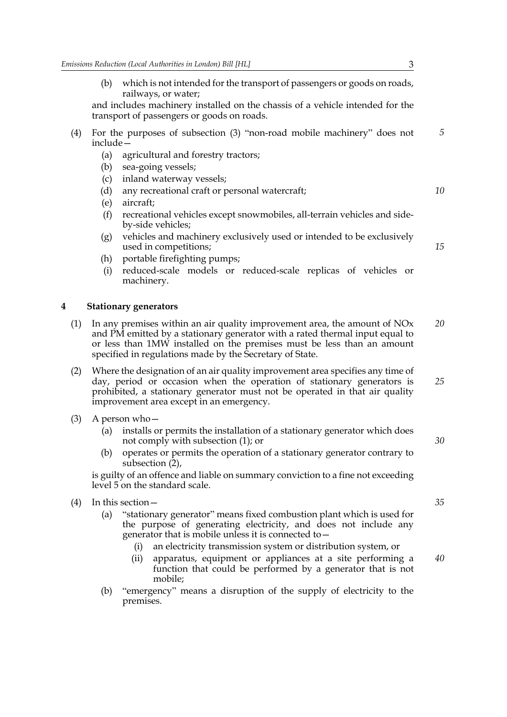(b) which is not intended for the transport of passengers or goods on roads, railways, or water;

and includes machinery installed on the chassis of a vehicle intended for the transport of passengers or goods on roads.

- (4) For the purposes of subsection [\(3\)](#page-3-6) "non-road mobile machinery" does not include— *5*
	- (a) agricultural and forestry tractors;
	- (b) sea-going vessels;
	- (c) inland waterway vessels;
	- (d) any recreational craft or personal watercraft;
	- (e) aircraft;
	- (f) recreational vehicles except snowmobiles, all-terrain vehicles and sideby-side vehicles;
	- (g) vehicles and machinery exclusively used or intended to be exclusively used in competitions;
	- (h) portable firefighting pumps;
	- (i) reduced-scale models or reduced-scale replicas of vehicles or machinery.

#### <span id="page-4-3"></span><span id="page-4-0"></span>**4 Stationary generators**

- <span id="page-4-1"></span>(1) In any premises within an air quality improvement area, the amount of  $NOx$ and PM emitted by a stationary generator with a rated thermal input equal to or less than 1MW installed on the premises must be less than an amount specified in regulations made by the Secretary of State. *20*
- <span id="page-4-2"></span>(2) Where the designation of an air quality improvement area specifies any time of day, period or occasion when the operation of stationary generators is prohibited, a stationary generator must not be operated in that air quality improvement area except in an emergency. *25*
- (3) A person who—
	- (a) installs or permits the installation of a stationary generator which does not comply with subsection [\(1\);](#page-4-1) or
	- (b) operates or permits the operation of a stationary generator contrary to subsection [\(2\),](#page-4-2)

is guilty of an offence and liable on summary conviction to a fine not exceeding level 5 on the standard scale.

- <span id="page-4-4"></span>(4) In this section—
	- (a) "stationary generator" means fixed combustion plant which is used for the purpose of generating electricity, and does not include any generator that is mobile unless it is connected to—
		- (i) an electricity transmission system or distribution system, or
		- (ii) apparatus, equipment or appliances at a site performing a function that could be performed by a generator that is not mobile;
	- (b) "emergency" means a disruption of the supply of electricity to the premises.

*35*

*40*

*30*

*10*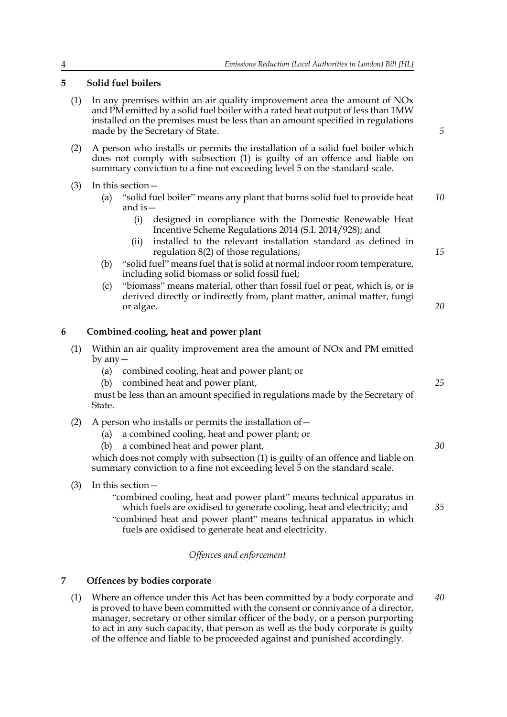## <span id="page-5-6"></span><span id="page-5-0"></span>**5 Solid fuel boilers**

- <span id="page-5-4"></span>(1) In any premises within an air quality improvement area the amount of NOx and PM emitted by a solid fuel boiler with a rated heat output of less than 1MW installed on the premises must be less than an amount specified in regulations made by the Secretary of State.
- (2) A person who installs or permits the installation of a solid fuel boiler which does not comply with subsection [\(1\)](#page-5-4) is guilty of an offence and liable on summary conviction to a fine not exceeding level 5 on the standard scale.
- (3) In this section—
	- (a) "solid fuel boiler" means any plant that burns solid fuel to provide heat and is— *10*
		- (i) designed in compliance with the Domestic Renewable Heat Incentive Scheme Regulations 2014 (S.I. 2014/928); and
		- (ii) installed to the relevant installation standard as defined in regulation 8(2) of those regulations;
	- (b) "solid fuel" means fuel that is solid at normal indoor room temperature, including solid biomass or solid fossil fuel;
	- (c) "biomass" means material, other than fossil fuel or peat, which is, or is derived directly or indirectly from, plant matter, animal matter, fungi or algae.

## <span id="page-5-3"></span><span id="page-5-1"></span>**6 Combined cooling, heat and power plant**

- <span id="page-5-5"></span>(1) Within an air quality improvement area the amount of NOx and PM emitted by any—
	- (a) combined cooling, heat and power plant; or
	- (b) combined heat and power plant,

 must be less than an amount specified in regulations made by the Secretary of State.

## (2) A person who installs or permits the installation of  $-$

- (a) a combined cooling, heat and power plant; or
- (b) a combined heat and power plant,

which does not comply with subsection [\(1\)](#page-5-5) is guilty of an offence and liable on summary conviction to a fine not exceeding level 5 on the standard scale.

(3) In this section—

"combined cooling, heat and power plant" means technical apparatus in which fuels are oxidised to generate cooling, heat and electricity; and

"combined heat and power plant" means technical apparatus in which fuels are oxidised to generate heat and electricity.

## *Offences and enforcement*

## <span id="page-5-2"></span>**7 Offences by bodies corporate**

(1) Where an offence under this Act has been committed by a body corporate and is proved to have been committed with the consent or connivance of a director, manager, secretary or other similar officer of the body, or a person purporting to act in any such capacity, that person as well as the body corporate is guilty of the offence and liable to be proceeded against and punished accordingly. *40*

*20*

*15*

*5*

*25*

*30*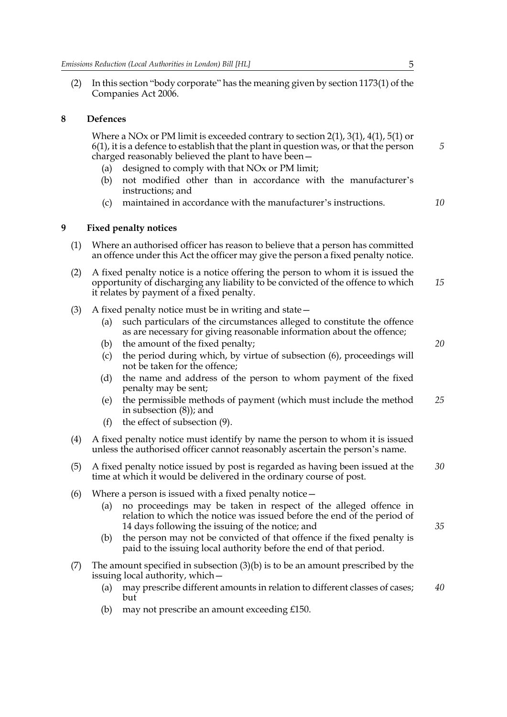(2) In this section "body corporate" has the meaning given by section 1173(1) of the Companies Act 2006.

### **8 Defences**

<span id="page-6-0"></span> Where a NOx or PM limit is exceeded contrary to section [2](#page-3-2)[\(1\),](#page-3-3) [3](#page-3-7)[\(1\)](#page-3-5), [4](#page-4-3)[\(1\),](#page-4-1) [5](#page-5-6)[\(1\)](#page-5-4) or [6](#page-5-3)[\(1\)](#page-5-5), it is a defence to establish that the plant in question was, or that the person charged reasonably believed the plant to have been—

- (a) designed to comply with that NOx or PM limit;
- (b) not modified other than in accordance with the manufacturer's instructions; and
- <span id="page-6-1"></span>(c) maintained in accordance with the manufacturer's instructions.

*10*

*20*

*35*

*5*

## <span id="page-6-3"></span>**9 Fixed penalty notices**

- (1) Where an authorised officer has reason to believe that a person has committed an offence under this Act the officer may give the person a fixed penalty notice.
- (2) A fixed penalty notice is a notice offering the person to whom it is issued the opportunity of discharging any liability to be convicted of the offence to which it relates by payment of a fixed penalty. *15*
- (3) A fixed penalty notice must be in writing and state—
	- (a) such particulars of the circumstances alleged to constitute the offence as are necessary for giving reasonable information about the offence;
	- (b) the amount of the fixed penalty;
	- (c) the period during which, by virtue of subsection [\(6\),](#page-6-2) proceedings will not be taken for the offence;
	- (d) the name and address of the person to whom payment of the fixed penalty may be sent;
	- (e) the permissible methods of payment (which must include the method in subsection [\(8\)](#page-7-2)); and *25*
	- (f) the effect of subsection [\(9\)](#page-7-3).
- <span id="page-6-4"></span>(4) A fixed penalty notice must identify by name the person to whom it is issued unless the authorised officer cannot reasonably ascertain the person's name.
- (5) A fixed penalty notice issued by post is regarded as having been issued at the time at which it would be delivered in the ordinary course of post. *30*
- <span id="page-6-2"></span>(6) Where a person is issued with a fixed penalty notice—
	- (a) no proceedings may be taken in respect of the alleged offence in relation to which the notice was issued before the end of the period of 14 days following the issuing of the notice; and
	- (b) the person may not be convicted of that offence if the fixed penalty is paid to the issuing local authority before the end of that period.
- (7) The amount specified in subsection (3)(b) is to be an amount prescribed by the issuing local authority, which—
	- (a) may prescribe different amounts in relation to different classes of cases; but *40*
	- (b) may not prescribe an amount exceeding £150.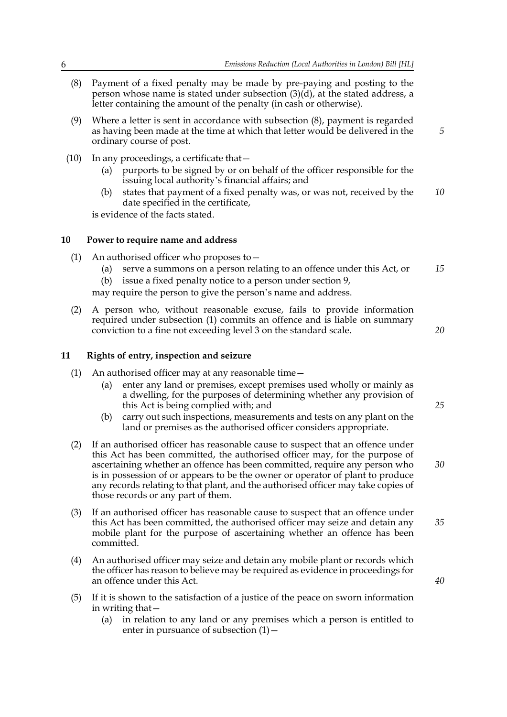- <span id="page-7-2"></span>(8) Payment of a fixed penalty may be made by pre-paying and posting to the person whose name is stated under subsection  $(3)(d)$ , at the stated address, a letter containing the amount of the penalty (in cash or otherwise).
- <span id="page-7-3"></span>(9) Where a letter is sent in accordance with subsection [\(8\)](#page-7-2), payment is regarded as having been made at the time at which that letter would be delivered in the ordinary course of post.
- (10) In any proceedings, a certificate that—
	- (a) purports to be signed by or on behalf of the officer responsible for the issuing local authority's financial affairs; and
	- (b) states that payment of a fixed penalty was, or was not, received by the date specified in the certificate, *10*

<span id="page-7-0"></span>is evidence of the facts stated.

#### **10 Power to require name and address**

- <span id="page-7-4"></span>(1) An authorised officer who proposes to—
	- (a) serve a summons on a person relating to an offence under this Act, or *15*
	- (b) issue a fixed penalty notice to a person under section [9,](#page-6-3)

may require the person to give the person's name and address.

(2) A person who, without reasonable excuse, fails to provide information required under subsection [\(1\)](#page-7-4) commits an offence and is liable on summary conviction to a fine not exceeding level 3 on the standard scale.

#### <span id="page-7-1"></span>**11 Rights of entry, inspection and seizure**

- <span id="page-7-5"></span>(1) An authorised officer may at any reasonable time—
	- (a) enter any land or premises, except premises used wholly or mainly as a dwelling, for the purposes of determining whether any provision of this Act is being complied with; and
	- (b) carry out such inspections, measurements and tests on any plant on the land or premises as the authorised officer considers appropriate.
- (2) If an authorised officer has reasonable cause to suspect that an offence under this Act has been committed, the authorised officer may, for the purpose of ascertaining whether an offence has been committed, require any person who is in possession of or appears to be the owner or operator of plant to produce any records relating to that plant, and the authorised officer may take copies of those records or any part of them.
- (3) If an authorised officer has reasonable cause to suspect that an offence under this Act has been committed, the authorised officer may seize and detain any mobile plant for the purpose of ascertaining whether an offence has been committed.
- (4) An authorised officer may seize and detain any mobile plant or records which the officer has reason to believe may be required as evidence in proceedings for an offence under this Act.
- <span id="page-7-6"></span>(5) If it is shown to the satisfaction of a justice of the peace on sworn information in writing that—
	- (a) in relation to any land or any premises which a person is entitled to enter in pursuance of subsection  $(1)$  –

*30*

*20*

*25*

*5*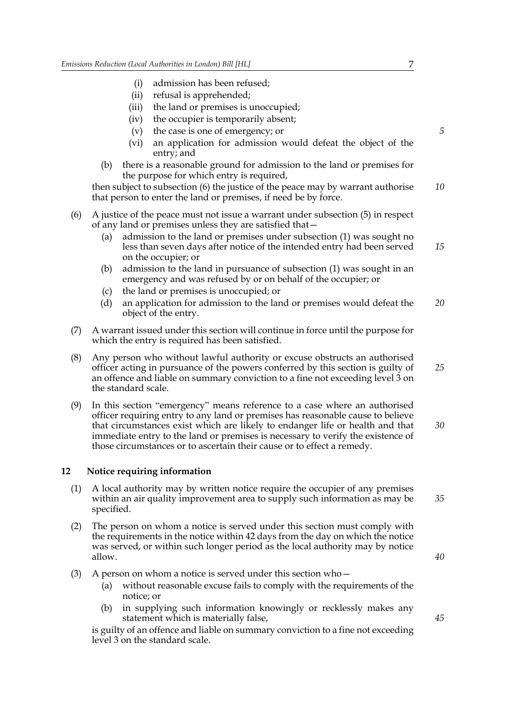- (i) admission has been refused;
- (ii) refusal is apprehended;
- (iii) the land or premises is unoccupied;
- (iv) the occupier is temporarily absent;
- (v) the case is one of emergency; or
- (vi) an application for admission would defeat the object of the entry; and
- (b) there is a reasonable ground for admission to the land or premises for the purpose for which entry is required,

then subject to subsection [\(6\)](#page-8-1) the justice of the peace may by warrant authorise that person to enter the land or premises, if need be by force. *10*

- <span id="page-8-1"></span>(6) A justice of the peace must not issue a warrant under subsection [\(5\)](#page-7-6) in respect of any land or premises unless they are satisfied that—
	- (a) admission to the land or premises under subsection [\(1\)](#page-7-5) was sought no less than seven days after notice of the intended entry had been served on the occupier; or *15*
	- (b) admission to the land in pursuance of subsection [\(1\)](#page-7-5) was sought in an emergency and was refused by or on behalf of the occupier; or
	- (c) the land or premises is unoccupied; or
	- (d) an application for admission to the land or premises would defeat the object of the entry. *20*
- (7) A warrant issued under this section will continue in force until the purpose for which the entry is required has been satisfied.
- (8) Any person who without lawful authority or excuse obstructs an authorised officer acting in pursuance of the powers conferred by this section is guilty of an offence and liable on summary conviction to a fine not exceeding level 3 on the standard scale. *25*
- (9) In this section "emergency" means reference to a case where an authorised officer requiring entry to any land or premises has reasonable cause to believe that circumstances exist which are likely to endanger life or health and that immediate entry to the land or premises is necessary to verify the existence of those circumstances or to ascertain their cause or to effect a remedy. *30*

#### <span id="page-8-0"></span>**12 Notice requiring information**

- (1) A local authority may by written notice require the occupier of any premises within an air quality improvement area to supply such information as may be specified.
- (2) The person on whom a notice is served under this section must comply with the requirements in the notice within 42 days from the day on which the notice was served, or within such longer period as the local authority may by notice allow.
- (3) A person on whom a notice is served under this section who  $-$ 
	- (a) without reasonable excuse fails to comply with the requirements of the notice; or
	- (b) in supplying such information knowingly or recklessly makes any statement which is materially false,

is guilty of an offence and liable on summary conviction to a fine not exceeding level 3 on the standard scale.

*45*

*35*

*40*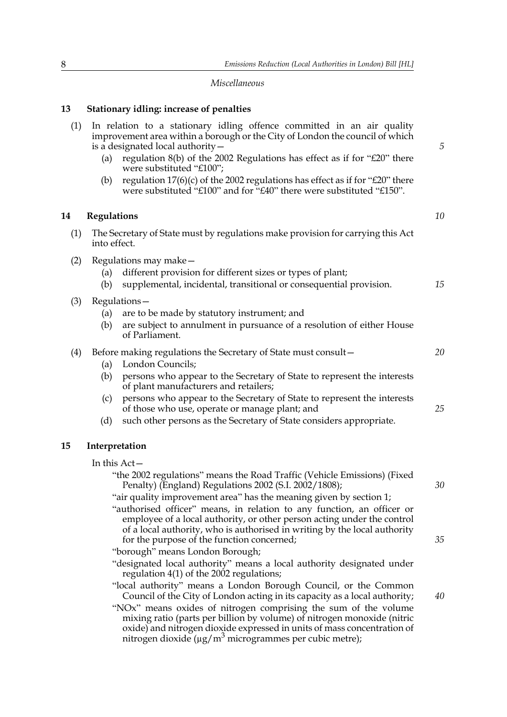*5*

*10*

### *Miscellaneous*

(1) In relation to a stationary idling offence committed in an air quality improvement area within a borough or the City of London the council of which

(a) regulation 8(b) of the 2002 Regulations has effect as if for "£20" there

(b) regulation  $17(6)(c)$  of the 2002 regulations has effect as if for "£20" there were substituted "£100" and for "£40" there were substituted "£150".

## <span id="page-9-0"></span>**13 Stationary idling: increase of penalties**

is a designated local authority—

were substituted "£100";

<span id="page-9-2"></span>

| (1) | The Secretary of State must by regulations make provision for carrying this Act<br>into effect.                                                                                                                                                                                                   |                                                                                                                                                                                                                                                                                                                                                                                                                                                                                                |    |
|-----|---------------------------------------------------------------------------------------------------------------------------------------------------------------------------------------------------------------------------------------------------------------------------------------------------|------------------------------------------------------------------------------------------------------------------------------------------------------------------------------------------------------------------------------------------------------------------------------------------------------------------------------------------------------------------------------------------------------------------------------------------------------------------------------------------------|----|
| (2) | (a)<br>(b)                                                                                                                                                                                                                                                                                        | Regulations may make -<br>different provision for different sizes or types of plant;<br>supplemental, incidental, transitional or consequential provision.                                                                                                                                                                                                                                                                                                                                     | 15 |
| (3) | (a)<br>(b)                                                                                                                                                                                                                                                                                        | Regulations-<br>are to be made by statutory instrument; and<br>are subject to annulment in pursuance of a resolution of either House<br>of Parliament.                                                                                                                                                                                                                                                                                                                                         |    |
| (4) | (a)<br>(b)                                                                                                                                                                                                                                                                                        | Before making regulations the Secretary of State must consult -<br>London Councils;<br>persons who appear to the Secretary of State to represent the interests<br>of plant manufacturers and retailers;                                                                                                                                                                                                                                                                                        | 20 |
|     | (c)<br>(d)                                                                                                                                                                                                                                                                                        | persons who appear to the Secretary of State to represent the interests<br>of those who use, operate or manage plant; and<br>such other persons as the Secretary of State considers appropriate.                                                                                                                                                                                                                                                                                               | 25 |
| 15  | Interpretation                                                                                                                                                                                                                                                                                    |                                                                                                                                                                                                                                                                                                                                                                                                                                                                                                |    |
|     | In this Act-<br>"the 2002 regulations" means the Road Traffic (Vehicle Emissions) (Fixed<br>Penalty) (England) Regulations 2002 (S.I. 2002/1808);<br>"air quality improvement area" has the meaning given by section 1;<br>"authorised officer" means, in relation to any function, an officer or |                                                                                                                                                                                                                                                                                                                                                                                                                                                                                                | 30 |
|     |                                                                                                                                                                                                                                                                                                   | employee of a local authority, or other person acting under the control<br>of a local authority, who is authorised in writing by the local authority<br>for the purpose of the function concerned;<br>"borough" means London Borough;<br>"designated local authority" means a local authority designated under                                                                                                                                                                                 | 35 |
|     |                                                                                                                                                                                                                                                                                                   | regulation 4(1) of the 2002 regulations;<br>"local authority" means a London Borough Council, or the Common<br>Council of the City of London acting in its capacity as a local authority;<br>"NOx" means oxides of nitrogen comprising the sum of the volume<br>mixing ratio (parts per billion by volume) of nitrogen monoxide (nitric<br>oxide) and nitrogen dioxide expressed in units of mass concentration of<br>nitrogen dioxide ( $\mu$ g/m <sup>3</sup> microgrammes per cubic metre); | 40 |

<span id="page-9-1"></span>**14 Regulations**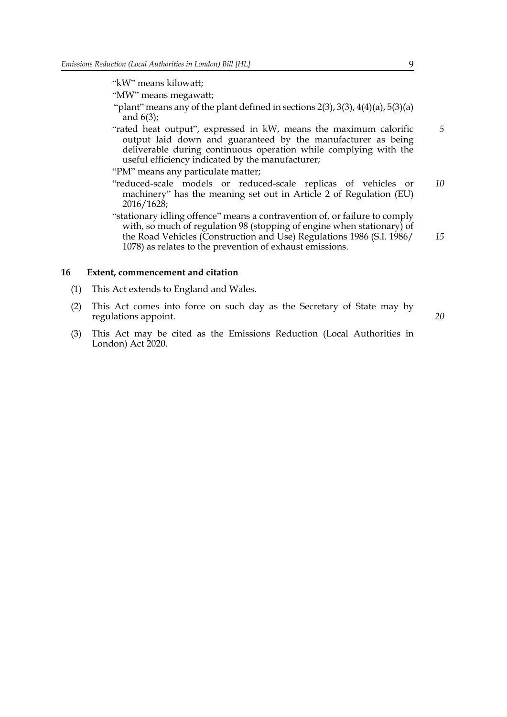"kW" means kilowatt;

"MW" means megawatt;

- "plant" means any of the plant defined in sections  $2(3)$  $2(3)$ ,  $3(3)$ ,  $4(4)(a)$  $4(4)(a)$ ,  $5(3)(a)$ and [6](#page-5-3)(3);
- "rated heat output", expressed in kW, means the maximum calorific output laid down and guaranteed by the manufacturer as being deliverable during continuous operation while complying with the useful efficiency indicated by the manufacturer;
- "PM" means any particulate matter;
- "reduced-scale models or reduced-scale replicas of vehicles or machinery" has the meaning set out in Article 2 of Regulation (EU) 2016/1628; *10*
- "stationary idling offence" means a contravention of, or failure to comply with, so much of regulation 98 (stopping of engine when stationary) of the Road Vehicles (Construction and Use) Regulations 1986 (S.I. 1986/ 1078) as relates to the prevention of exhaust emissions.

#### <span id="page-10-0"></span>**16 Extent, commencement and citation**

- (1) This Act extends to England and Wales.
- (2) This Act comes into force on such day as the Secretary of State may by regulations appoint.
- (3) This Act may be cited as the Emissions Reduction (Local Authorities in London) Act 2020.

*5*

*15*